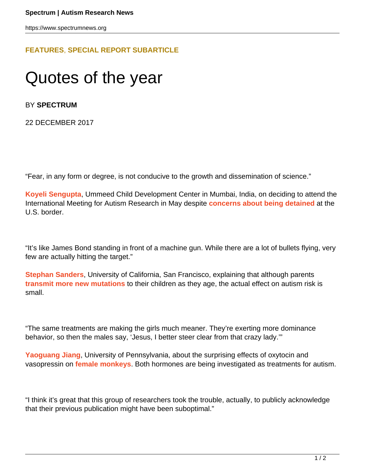## **[FEATURES](HTTPS://WWW.SPECTRUMNEWS.ORG/FEATURES/)**, **[SPECIAL REPORT SUBARTICLE](HTTPS://WWW.SPECTRUMNEWS.ORG/FEATURES/SPECIAL-REPORT/)**

## Quotes of the year

BY **SPECTRUM**

22 DECEMBER 2017

"Fear, in any form or degree, is not conducive to the growth and dissemination of science."

**[Koyeli Sengupta](http://www.developmentalpediatrics.org/koyeli-sengupta/)**, Ummeed Child Development Center in Mumbai, India, on deciding to attend the International Meeting for Autism Research in May despite **[concerns about being detained](https://www.spectrumnews.org/news/despite-fears-autism-researchers-arrive-u-s-global-conference/)** at the U.S. border.

"It's like James Bond standing in front of a machine gun. While there are a lot of bullets flying, very few are actually hitting the target."

**[Stephan Sanders](https://www.spectrumnews.org/news/profiles/rising-star-stephan-sanders-accidental-geneticist/)**, University of California, San Francisco, explaining that although parents **[transmit more new mutations](https://www.spectrumnews.org/news/parental-age-ups-rate-new-mutations-passed-children/)** to their children as they age, the actual effect on autism risk is small.

"The same treatments are making the girls much meaner. They're exerting more dominance behavior, so then the males say, 'Jesus, I better steer clear from that crazy lady.'"

**[Yaoguang Jiang](http://plattlabs.rocks/our-team/yaoguang-jiang)**, University of Pennsylvania, about the surprising effects of oxytocin and vasopressin on **[female monkeys](https://www.spectrumnews.org/news/social-hormones-alter-monkey-behavior-sex-specific-ways/)**. Both hormones are being investigated as treatments for autism.

"I think it's great that this group of researchers took the trouble, actually, to publicly acknowledge that their previous publication might have been suboptimal."